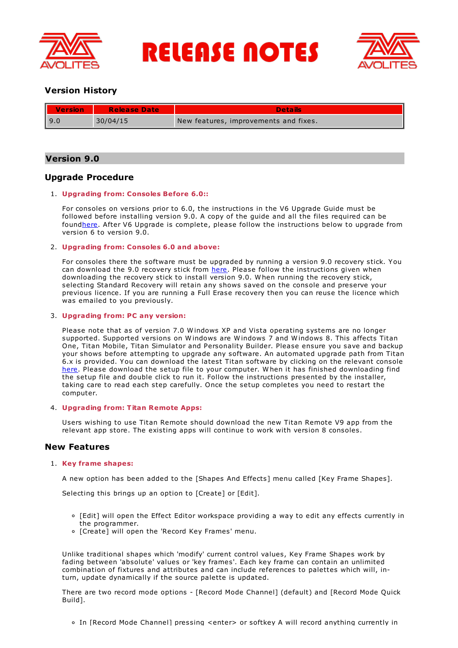

**RELEASE NOTES** 



# **Version History**

| II<br><b>Version</b> | <b>Release Date</b> | <b>Details</b>                        |
|----------------------|---------------------|---------------------------------------|
| l 9.0                | 30/04/15            | New features, improvements and fixes. |

# **Version 9.0**

# **Upgrade Procedure**

# 1. **Upgrading from: Consoles Before 6.0::**

For consoles on versions prior to 6.0, the instructions in the V6 Upgrade Guide must be followed before installing version 9.0. A copy of the guide and all the files required can be foun[dhere](http://www.avolites.com/V6Upgrade). After V6 Upgrade is complete, please follow the instructions below to upgrade from version 6 to version 9.0.

# 2. **Upgrading from: Consoles 6.0 and above:**

For consoles there the software must be upgraded by running a version 9.0 recovery stick. You can download the 9.0 recovery stick from [here](http://www.avolites.com/software/latest-version). Please follow the instructions given when downloading the recovery stick to install version 9.0. When running the recovery stick, selecting Standard Recovery will retain any shows saved on the console and preserve your previous licence. If you are running a Full Erase recovery then you can reuse the licence which was emailed to you previously.

# 3. **Upgrading from: PC any version:**

Please note that as of version 7.0 W indows XP and Vista operating systems are no longer supported. Supported versions on W indows are W indows 7 and W indows 8. This affects Titan One, Titan Mobile, Titan Simulator and Personality Builder. Please ensure you save and backup your shows before attempting to upgrade any software. An automated upgrade path from Titan 6.x is provided. You can download the latest Titan software by clicking on the relevant console [here](http://www.avolites.com/software/latest-version). Please download the setup file to your computer. W hen it has finished downloading find the setup file and double click to run it. Follow the instructions presented by the installer, taking care to read each step carefully. Once the setup completes you need to restart the computer.

# 4. **Upgrading from: Titan Remote Apps:**

Users wishing to use Titan Remote should download the new Titan Remote V9 app from the relevant app store. The existing apps will continue to work with version 8 consoles.

# **New Features**

# 1. **Key frame shapes:**

A new option has been added to the [Shapes And Effects] menu called [Key Frame Shapes].

Selecting this brings up an option to [Create] or [Edit].

- [Edit] will open the Effect Editor workspace providing a way to edit any effects currently in the programmer.
- o [Create] will open the 'Record Key Frames' menu.

Unlike traditional shapes which 'modify' current control values, Key Frame Shapes work by fading between 'absolute' values or 'key frames'. Each key frame can contain an unlimited combination of fixtures and attributes and can include references to palettes which will, inturn, update dynamically if the source palette is updated.

There are two record mode options - [Record Mode Channel] (default) and [Record Mode Quick Build].

In [Record Mode Channel] pressing <enter> or softkey A will record anything currently in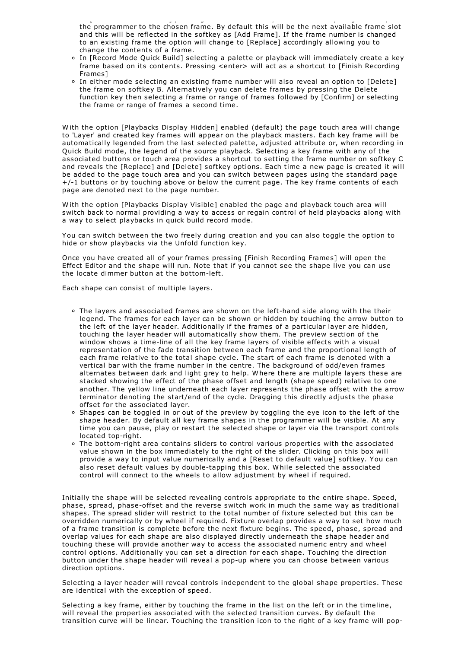In [Record Mode Channel] pressing <enter> or softkey A will record anything currently in the programmer to the chosen frame. By default this will be the next available frame slot and this will be reflected in the softkey as [Add Frame]. If the frame number is changed to an existing frame the option will change to [Replace] accordingly allowing you to change the contents of a frame.

- In [Record Mode Quick Build] selecting a palette or playback will immediately create a key frame based on its contents. Pressing <enter> will act as a shortcut to [Finish Recording Frames]
- In either mode selecting an existing frame number will also reveal an option to [Delete] the frame on softkey B. Alternatively you can delete frames by pressing the Delete function key then selecting a frame or range of frames followed by [Confirm] or selecting the frame or range of frames a second time.

W ith the option [Playbacks Display Hidden] enabled (default) the page touch area will change to 'Layer' and created key frames will appear on the playback masters. Each key frame will be automatically legended from the last selected palette, adjusted attribute or, when recording in Quick Build mode, the legend of the source playback. Selecting a key frame with any of the associated buttons or touch area provides a shortcut to setting the frame number on softkey C and reveals the [Replace] and [Delete] softkey options. Each time a new page is created it will be added to the page touch area and you can switch between pages using the standard page  $+/-1$  buttons or by touching above or below the current page. The key frame contents of each page are denoted next to the page number.

W ith the option [Playbacks Display Visible] enabled the page and playback touch area will switch back to normal providing a way to access or regain control of held playbacks along with a way to select playbacks in quick build record mode.

You can switch between the two freely during creation and you can also toggle the option to hide or show playbacks via the Unfold function key.

Once you have created all of your frames pressing [Finish Recording Frames] will open the Effect Editor and the shape will run. Note that if you cannot see the shape live you can use the locate dimmer button at the bottom-left.

Each shape can consist of multiple layers.

- The layers and associated frames are shown on the left-hand side along with the their legend. The frames for each layer can be shown or hidden by touching the arrow button to the left of the layer header. Additionally if the frames of a particular layer are hidden, touching the layer header will automatically show them. The preview section of the window shows a time-line of all the key frame layers of visible effects with a visual representation of the fade transition between each frame and the proportional length of each frame relative to the total shape cycle. The start of each frame is denoted with a vertical bar with the frame number in the centre. The background of odd/even frames alternates between dark and light grey to help. W here there are multiple layers these are stacked showing the effect of the phase offset and length (shape speed) relative to one another. The yellow line underneath each layer represents the phase offset with the arrow terminator denoting the start/end of the cycle. Dragging this directly adjusts the phase offset for the associated layer.
- <sup>o</sup> Shapes can be toggled in or out of the preview by toggling the eye icon to the left of the shape header. By default all key frame shapes in the programmer will be visible. At any time you can pause, play or restart the selected shape or layer via the transport controls located top-right.
- The bottom-right area contains sliders to control various properties with the associated value shown in the box immediately to the right of the slider. Clicking on this box will provide a way to input value numerically and a [Reset to default value] softkey. You can also reset default values by double-tapping this box. W hile selected the associated control will connect to the wheels to allow adjustment by wheel if required.

Initially the shape will be selected revealing controls appropriate to the entire shape. Speed, phase, spread, phase-offset and the reverse switch work in much the same way as traditional shapes. The spread slider will restrict to the total number of fixture selected but this can be overridden numerically or by wheel if required. Fixture overlap provides a way to set how much of a frame transition is complete before the next fixture begins. The speed, phase, spread and overlap values for each shape are also displayed directly underneath the shape header and touching these will provide another way to access the associated numeric entry and wheel control options. Additionally you can set a direction for each shape. Touching the direction button under the shape header will reveal a pop-up where you can choose between various direction options.

Selecting a layer header will reveal controls independent to the global shape properties. These are identical with the exception of speed.

Selecting a key frame, either by touching the frame in the list on the left or in the timeline, will reveal the properties associated with the selected transition curves. By default the transition curve will be linear. Touching the transition icon to the right of a key frame will pop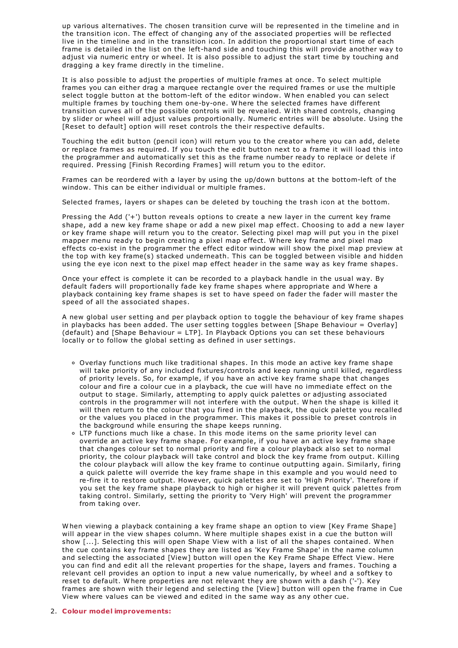up various alternatives. The chosen transition curve will be represented in the timeline and in the transition icon. The effect of changing any of the associated properties will be reflected live in the timeline and in the transition icon. In addition the proportional start time of each frame is detailed in the list on the left-hand side and touching this will provide another way to adjust via numeric entry or wheel. It is also possible to adjust the start time by touching and dragging a key frame directly in the timeline.

It is also possible to adjust the properties of multiple frames at once. To select multiple frames you can either drag a marquee rectangle over the required frames or use the multiple select toggle button at the bottom-left of the editor window. W hen enabled you can select multiple frames by touching them one-by-one. W here the selected frames have different transition curves all of the possible controls will be revealed. W ith shared controls, changing by slider or wheel will adjust values proportionally. Numeric entries will be absolute. Using the [Reset to default] option will reset controls the their respective defaults.

Touching the edit button (pencil icon) will return you to the creator where you can add, delete or replace frames as required. If you touch the edit button next to a frame it will load this into the programmer and automatically set this as the frame number ready to replace or delete if required. Pressing [Finish Recording Frames] will return you to the editor.

Frames can be reordered with a layer by using the up/down buttons at the bottom-left of the window. This can be either individual or multiple frames.

Selected frames, layers or shapes can be deleted by touching the trash icon at the bottom.

Pressing the Add ('+') button reveals options to create a new layer in the current key frame shape, add a new key frame shape or add a new pixel map effect. Choosing to add a new layer or key frame shape will return you to the creator. Selecting pixel map will put you in the pixel mapper menu ready to begin creating a pixel map effect. W here key frame and pixel map effects co-exist in the programmer the effect editor window will show the pixel map preview at the top with key frame(s) stacked underneath. This can be toggled between visible and hidden using the eye icon next to the pixel map effect header in the same way as key frame shapes.

Once your effect is complete it can be recorded to a playback handle in the usual way. By default faders will proportionally fade key frame shapes where appropriate and W here a playback containing key frame shapes is set to have speed on fader the fader will master the speed of all the associated shapes.

A new global user setting and per playback option to toggle the behaviour of key frame shapes in playbacks has been added. The user setting toggles between [Shape Behaviour = Overlay] (default) and [Shape Behaviour = LTP]. In Playback Options you can set these behaviours locally or to follow the global setting as defined in user settings.

- Overlay functions much like traditional shapes. In this mode an active key frame shape will take priority of any included fixtures/controls and keep running until killed, regardless of priority levels. So, for example, if you have an active key frame shape that changes colour and fire a colour cue in a playback, the cue will have no immediate effect on the output to stage. Similarly, attempting to apply quick palettes or adjusting associated controls in the programmer will not interfere with the output. W hen the shape is killed it will then return to the colour that you fired in the playback, the quick palette you recalled or the values you placed in the programmer. This makes it possible to preset controls in the background while ensuring the shape keeps running.
- LTP functions much like a chase. In this mode items on the same priority level can override an active key frame shape. For example, if you have an active key frame shape that changes colour set to normal priority and fire a colour playback also set to normal priority, the colour playback will take control and block the key frame from output. Killing the colour playback will allow the key frame to continue outputting again. Similarly, firing a quick palette will override the key frame shape in this example and you would need to re-fire it to restore output. However, quick palettes are set to 'High Priority'. Therefore if you set the key frame shape playback to high or higher it will prevent quick palettes from taking control. Similarly, setting the priority to 'Very High' will prevent the programmer from taking over.

W hen viewing a playback containing a key frame shape an option to view [Key Frame Shape] will appear in the view shapes column. W here multiple shapes exist in a cue the button will show [...]. Selecting this will open Shape View with a list of all the shapes contained. W hen the cue contains key frame shapes they are listed as 'Key Frame Shape' in the name column and selecting the associated [View] button will open the Key Frame Shape Effect View. Here you can find and edit all the relevant properties for the shape, layers and frames. Touching a relevant cell provides an option to input a new value numerically, by wheel and a softkey to reset to default. W here properties are not relevant they are shown with a dash ('-'). Key frames are shown with their legend and selecting the [View] button will open the frame in Cue View where values can be viewed and edited in the same way as any other cue.

# 2. **Colour model improvements:**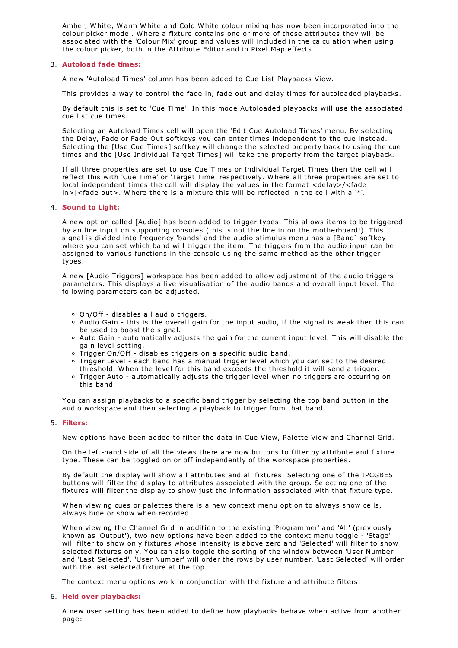Amber, W hite, W arm W hite and Cold W hite colour mixing has now been incorporated into the colour picker model. W here a fixture contains one or more of these attributes they will be associated with the 'Colour Mix' group and values will included in the calculation when using the colour picker, both in the Attribute Editor and in Pixel Map effects.

# 3. **Autoload fade times:**

A new 'Autoload Times' column has been added to Cue List Playbacks View.

This provides a way to control the fade in, fade out and delay times for autoloaded playbacks.

By default this is set to 'Cue Time'. In this mode Autoloaded playbacks will use the associated cue list cue times.

Selecting an Autoload Times cell will open the 'Edit Cue Autoload Times' menu. By selecting the Delay, Fade or Fade Out softkeys you can enter times independent to the cue instead. Selecting the [Use Cue Times] softkey will change the selected property back to using the cue times and the [Use Individual Target Times] will take the property from the target playback.

If all three properties are set to use Cue Times or Individual Target Times then the cell will reflect this with 'Cue Time' or 'Target Time' respectively. W here all three properties are set to local independent times the cell will display the values in the format <delay>/<fade in>|<fade out>. W here there is a mixture this will be reflected in the cell with a '\*'.

# 4. **Sound to Light:**

A new option called [Audio] has been added to trigger types. This allows items to be triggered by an line input on supporting consoles (this is not the line in on the motherboard!). This signal is divided into frequency 'bands' and the audio stimulus menu has a [Band] softkey where you can set which band will trigger the item. The triggers from the audio input can be assigned to various functions in the console using the same method as the other trigger types.

A new [Audio Triggers] workspace has been added to allow adjustment of the audio triggers parameters. This displays a live visualisation of the audio bands and overall input level. The following parameters can be adjusted.

- On/Off disables all audio triggers.
- Audio Gain this is the overall gain for the input audio, if the signal is weak then this can be used to boost the signal.
- Auto Gain automatically adjusts the gain for the current input level. This will disable the gain level setting.
- Trigger On/Off disables triggers on a specific audio band.
- Trigger Level each band has a manual trigger level which you can set to the desired threshold. W hen the level for this band exceeds the threshold it will send a trigger.
- Trigger Auto automatically adjusts the trigger level when no triggers are occurring on this band.

You can assign playbacks to a specific band trigger by selecting the top band button in the audio workspace and then selecting a playback to trigger from that band.

#### 5. **Filters:**

New options have been added to filter the data in Cue View, Palette View and Channel Grid.

On the left-hand side of all the views there are now buttons to filter by attribute and fixture type. These can be toggled on or off independently of the workspace properties.

By default the display will show all attributes and all fixtures. Selecting one of the IPCGBES buttons will filter the display to attributes associated with the group. Selecting one of the fixtures will filter the display to show just the information associated with that fixture type.

W hen viewing cues or palettes there is a new context menu option to always show cells, always hide or show when recorded.

W hen viewing the Channel Grid in addition to the existing 'Programmer' and 'All' (previously known as 'Output'), two new options have been added to the context menu toggle - 'Stage' will filter to show only fixtures whose intensity is above zero and 'Selected' will filter to show selected fixtures only. You can also toggle the sorting of the window between 'User Number' and 'Last Selected'. 'User Number' will order the rows by user number. 'Last Selected' will order with the last selected fixture at the top.

The context menu options work in conjunction with the fixture and attribute filters.

# 6. **Held over playbacks:**

A new user setting has been added to define how playbacks behave when active from another page: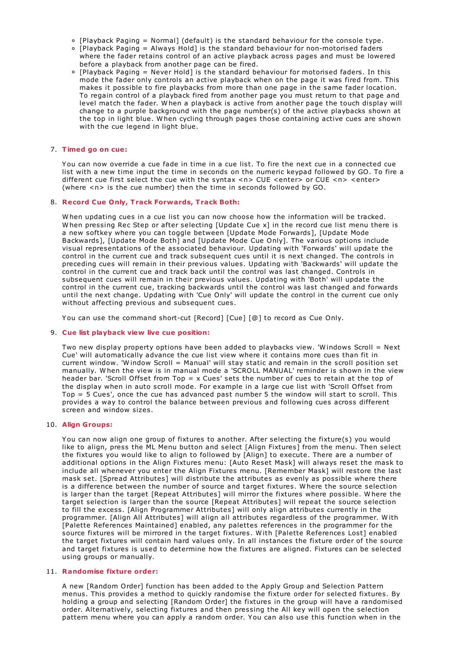- $\circ$  [Playback Paging = Normal] (default) is the standard behaviour for the console type.
- [Playback Paging = Always Hold] is the standard behaviour for non-motorised faders where the fader retains control of an active playback across pages and must be lowered before a playback from another page can be fired.
- $\circ$  [Playback Paging = Never Hold] is the standard behaviour for motorised faders. In this mode the fader only controls an active playback when on the page it was fired from. This makes it possible to fire playbacks from more than one page in the same fader location. To regain control of a playback fired from another page you must return to that page and level match the fader. W hen a playback is active from another page the touch display will change to a purple background with the page number(s) of the active playbacks shown at the top in light blue. W hen cycling through pages those containing active cues are shown with the cue legend in light blue.

# 7. **Timed go on cue:**

You can now override a cue fade in time in a cue list. To fire the next cue in a connected cue list with a new time input the time in seconds on the numeric keypad followed by GO. To fire a different cue first select the cue with the syntax <n> CUE <enter> or CUE <n> <enter> (where <n> is the cue number) then the time in seconds followed by GO.

# 8. **Record Cue Only, Track Forwards, Track Both:**

W hen updating cues in a cue list you can now choose how the information will be tracked. When pressing Rec Step or after selecting [Update Cue x] in the record cue list menu there is a new softkey where you can toggle between [Update Mode Forwards], [Update Mode Backwards], [Update Mode Both] and [Update Mode Cue Only]. The various options include visual representations of the associated behaviour. Updating with 'Forwards' will update the control in the current cue and track subsequent cues until it is next changed. The controls in preceding cues will remain in their previous values. Updating with 'Backwards' will update the control in the current cue and track back until the control was last changed. Controls in subsequent cues will remain in their previous values. Updating with 'Both' will update the control in the current cue, tracking backwards until the control was last changed and forwards until the next change. Updating with 'Cue Only' will update the control in the current cue only without affecting previous and subsequent cues.

You can use the command short-cut [Record] [Cue] [@] to record as Cue Only.

# 9. **Cue list playback view live cue position:**

Two new display property options have been added to playbacks view. 'W indows Scroll = Next Cue' will automatically advance the cue list view where it contains more cues than fit in current window. 'W indow Scroll = Manual' will stay static and remain in the scroll position set manually. W hen the view is in manual mode a 'SCROLL MANUAL' reminder is shown in the view header bar. 'Scroll Offset from Top = x Cues' sets the number of cues to retain at the top of the display when in auto scroll mode. For example in a large cue list with 'Scroll Offset from Top = 5 Cues', once the cue has advanced past number 5 the window will start to scroll. This provides a way to control the balance between previous and following cues across different screen and window sizes.

# 10. **Align Groups:**

You can now align one group of fixtures to another. After selecting the fixture(s) you would like to align, press the ML Menu button and select [Align Fixtures] from the menu. Then select the fixtures you would like to align to followed by [Align] to execute. There are a number of additional options in the Align Fixtures menu: [Auto Reset Mask] will always reset the mask to include all whenever you enter the Align Fixtures menu. [Remember Mask] will restore the last mask set. [Spread Attributes] will distribute the attributes as evenly as possible where there is a difference between the number of source and target fixtures. W here the source selection is larger than the target [Repeat Attributes] will mirror the fixtures where possible. W here the target selection is larger than the source [Repeat Attributes] will repeat the source selection to fill the excess. [Align Programmer Attributes] will only align attributes currently in the programmer. [Align All Attributes] will align all attributes regardless of the programmer. W ith [Palette References Maintained] enabled, any palettes references in the programmer for the source fixtures will be mirrored in the target fixtures. W ith [Palette References Lost] enabled the target fixtures will contain hard values only. In all instances the fixture order of the source and target fixtures is used to determine how the fixtures are aligned. Fixtures can be selected using groups or manually.

# 11. **Randomise fixture order:**

A new [Random Order] function has been added to the Apply Group and Selection Pattern menus. This provides a method to quickly randomise the fixture order for selected fixtures. By holding a group and selecting [Random Order] the fixtures in the group will have a randomised order. Alternatively, selecting fixtures and then pressing the All key will open the selection pattern menu where you can apply a random order. You can also use this function when in the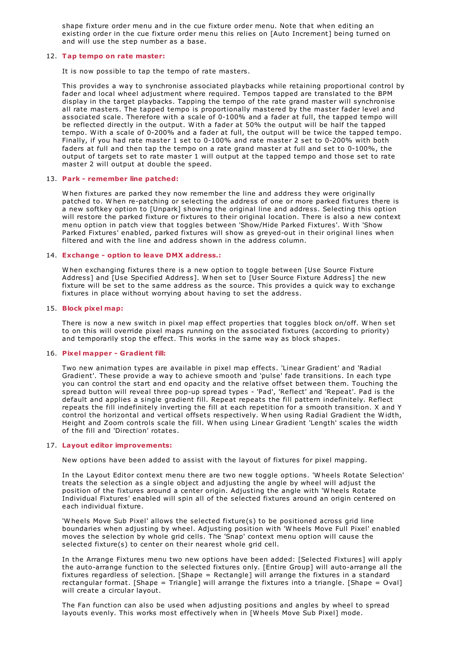shape fixture order menu and in the cue fixture order menu. Note that when editing an existing order in the cue fixture order menu this relies on [Auto Increment] being turned on and will use the step number as a base.

## 12. **Tap tempo on rate master:**

It is now possible to tap the tempo of rate masters.

This provides a way to synchronise associated playbacks while retaining proportional control by fader and local wheel adjustment where required. Tempos tapped are translated to the BPM display in the target playbacks. Tapping the tempo of the rate grand master will synchronise all rate masters. The tapped tempo is proportionally mastered by the master fader level and associated scale. Therefore with a scale of 0-100% and a fader at full, the tapped tempo will be reflected directly in the output. W ith a fader at 50% the output will be half the tapped tempo. W ith a scale of 0-200% and a fader at full, the output will be twice the tapped tempo. Finally, if you had rate master 1 set to 0-100% and rate master 2 set to 0-200% with both faders at full and then tap the tempo on a rate grand master at full and set to 0-100%, the output of targets set to rate master 1 will output at the tapped tempo and those set to rate master 2 will output at double the speed.

### 13. **Park - remember line patched:**

W hen fixtures are parked they now remember the line and address they were originally patched to. W hen re-patching or selecting the address of one or more parked fixtures there is a new softkey option to [Unpark] showing the original line and address. Selecting this option will restore the parked fixture or fixtures to their original location. There is also a new context menu option in patch view that toggles between 'Show/Hide Parked Fixtures'. W ith 'Show Parked Fixtures' enabled, parked fixtures will show as greyed-out in their original lines when filtered and with the line and address shown in the address column.

## 14. **Exchange - option to leave DMX address.:**

W hen exchanging fixtures there is a new option to toggle between [Use Source Fixture Address] and [Use Specified Address]. W hen set to [User Source Fixture Address] the new fixture will be set to the same address as the source. This provides a quick way to exchange fixtures in place without worrying about having to set the address.

### 15. **Block pixel map:**

There is now a new switch in pixel map effect properties that toggles block on/off. W hen set to on this will override pixel maps running on the associated fixtures (according to priority) and temporarily stop the effect. This works in the same way as block shapes.

#### 16. **Pixel mapper - Gradient fill:**

Two new animation types are available in pixel map effects. 'Linear Gradient' and 'Radial Gradient'. These provide a way to achieve smooth and 'pulse' fade transitions. In each type you can control the start and end opacity and the relative offset between them. Touching the spread button will reveal three pop-up spread types - 'Pad', 'Reflect' and 'Repeat'. Pad is the default and applies a single gradient fill. Repeat repeats the fill pattern indefinitely. Reflect repeats the fill indefinitely inverting the fill at each repetition for a smooth transition. X and Y control the horizontal and vertical offsets respectively. W hen using Radial Gradient the W idth, Height and Zoom controls scale the fill. W hen using Linear Gradient 'Length' scales the width of the fill and 'Direction' rotates.

# 17. **Layout editor improvements:**

New options have been added to assist with the layout of fixtures for pixel mapping.

In the Layout Editor context menu there are two new toggle options. 'W heels Rotate Selection' treats the selection as a single object and adjusting the angle by wheel will adjust the position of the fixtures around a center origin. Adjusting the angle with 'W heels Rotate Individual Fixtures' enabled will spin all of the selected fixtures around an origin centered on each individual fixture.

'W heels Move Sub Pixel' allows the selected fixture(s) to be positioned across grid line boundaries when adjusting by wheel. Adjusting position with 'W heels Move Full Pixel' enabled moves the selection by whole grid cells. The 'Snap' context menu option will cause the selected fixture(s) to center on their nearest whole grid cell.

In the Arrange Fixtures menu two new options have been added: [Selected Fixtures] will apply the auto-arrange function to the selected fixtures only. [Entire Group] will auto-arrange all the fixtures regardless of selection. [Shape = Rectangle] will arrange the fixtures in a standard rectangular format. [Shape = Triangle] will arrange the fixtures into a triangle. [Shape = Oval] will create a circular layout.

The Fan function can also be used when adjusting positions and angles by wheel to spread layouts evenly. This works most effectively when in [W heels Move Sub Pixel] mode.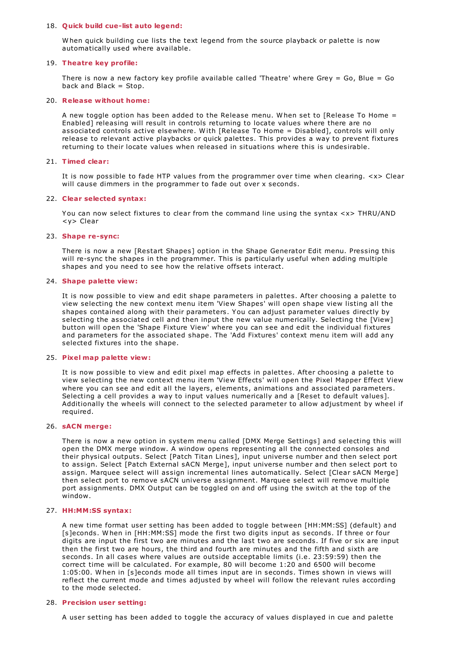#### 18. **Quick build cue-list auto legend:**

W hen quick building cue lists the text legend from the source playback or palette is now automatically used where available.

## 19. **Theatre key profile:**

There is now a new factory key profile available called 'Theatre' where Grey = Go, Blue = Go back and Black  $=$  Stop.

## 20. **Release without home:**

A new toggle option has been added to the Release menu. W hen set to [Release To Home = Enabled] releasing will result in controls returning to locate values where there are no associated controls active elsewhere. W ith [Release To Home = Disabled], controls will only release to relevant active playbacks or quick palettes. This provides a way to prevent fixtures returning to their locate values when released in situations where this is undesirable.

# 21. **Timed clear:**

It is now possible to fade HTP values from the programmer over time when clearing. <x> Clear will cause dimmers in the programmer to fade out over x seconds.

# 22. **Clear selected syntax:**

You can now select fixtures to clear from the command line using the syntax <x> THRU/AND <y> Clear

### 23. **Shape re-sync:**

There is now a new [Restart Shapes] option in the Shape Generator Edit menu. Pressing this will re-sync the shapes in the programmer. This is particularly useful when adding multiple shapes and you need to see how the relative offsets interact.

## 24. **Shape palette view:**

It is now possible to view and edit shape parameters in palettes. After choosing a palette to view selecting the new context menu item 'View Shapes' will open shape view listing all the shapes contained along with their parameters. You can adjust parameter values directly by selecting the associated cell and then input the new value numerically. Selecting the [View] button will open the 'Shape Fixture View' where you can see and edit the individual fixtures and parameters for the associated shape. The 'Add Fixtures' context menu item will add any selected fixtures into the shape.

#### 25. **Pixel map palette view:**

It is now possible to view and edit pixel map effects in palettes. After choosing a palette to view selecting the new context menu item 'View Effects' will open the Pixel Mapper Effect View where you can see and edit all the layers, elements, animations and associated parameters. Selecting a cell provides a way to input values numerically and a [Reset to default values]. Additionally the wheels will connect to the selected parameter to allow adjustment by wheel if required.

### 26. **sACN merge:**

There is now a new option in system menu called [DMX Merge Settings] and selecting this will open the DMX merge window. A window opens representing all the connected consoles and their physical outputs. Select [Patch Titan Lines], input universe number and then select port to assign. Select [Patch External sACN Merge], input universe number and then select port to assign. Marquee select will assign incremental lines automatically. Select [Clear sACN Merge] then select port to remove sACN universe assignment. Marquee select will remove multiple port assignments. DMX Output can be toggled on and off using the switch at the top of the window.

# 27. **HH:MM:SS syntax:**

A new time format user setting has been added to toggle between [HH:MM:SS] (default) and [s]econds. W hen in [HH:MM:SS] mode the first two digits input as seconds. If three or four digits are input the first two are minutes and the last two are seconds. If five or six are input then the first two are hours, the third and fourth are minutes and the fifth and sixth are seconds. In all cases where values are outside acceptable limits (i.e. 23:59:59) then the correct time will be calculated. For example, 80 will become 1:20 and 6500 will become 1:05:00. W hen in [s]econds mode all times input are in seconds. Times shown in views will reflect the current mode and times adjusted by wheel will follow the relevant rules according to the mode selected.

#### 28. **Precision user setting:**

A user setting has been added to toggle the accuracy of values displayed in cue and palette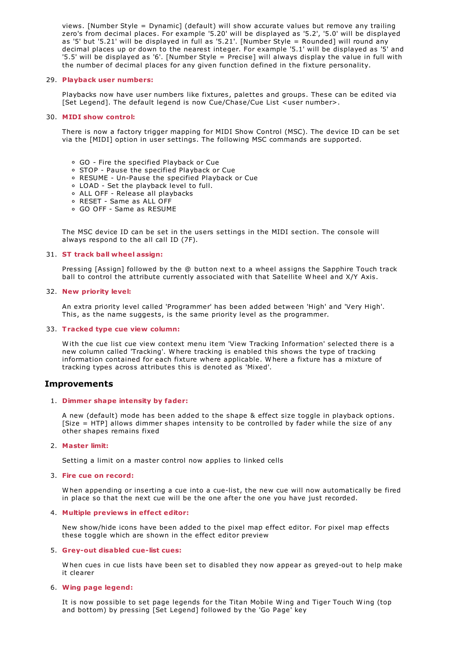views. [Number Style = Dynamic] (default) will show accurate values but remove any trailing zero's from decimal places. For example '5.20' will be displayed as '5.2', '5.0' will be displayed as '5' but '5.21' will be displayed in full as '5.21'. [Number Style = Rounded] will round any decimal places up or down to the nearest integer. For example '5.1' will be displayed as '5' and '5.5' will be displayed as '6'. [Number Style = Precise] will always display the value in full with the number of decimal places for any given function defined in the fixture personality.

## 29. **Playback user numbers:**

Playbacks now have user numbers like fixtures, palettes and groups. These can be edited via [Set Legend]. The default legend is now Cue/Chase/Cue List <user number>.

## 30. **MIDI show control:**

There is now a factory trigger mapping for MIDI Show Control (MSC). The device ID can be set via the [MIDI] option in user settings. The following MSC commands are supported.

- GO Fire the specified Playback or Cue
- STOP Pause the specified Playback or Cue
- RESUME Un-Pause the specified Playback or Cue
- LOAD Set the playback level to full.
- ALL OFF Release all playbacks
- RESET Same as ALL OFF
- GO OFF Same as RESUME

The MSC device ID can be set in the users settings in the MIDI section. The console will always respond to the all call ID (7F).

### 31. **ST track ball wheel assign:**

Pressing [Assign] followed by the @ button next to a wheel assigns the Sapphire Touch track ball to control the attribute currently associated with that Satellite W heel and X/Y Axis.

#### 32. **New priority level:**

An extra priority level called 'Programmer' has been added between 'High' and 'Very High'. This, as the name suggests, is the same priority level as the programmer.

#### 33. **Tracked type cue view column:**

W ith the cue list cue view context menu item 'View Tracking Information' selected there is a new column called 'Tracking'. W here tracking is enabled this shows the type of tracking information contained for each fixture where applicable. W here a fixture has a mixture of tracking types across attributes this is denoted as 'Mixed'.

# **Improvements**

#### 1. **Dimmer shape intensity by fader:**

A new (default) mode has been added to the shape & effect size toggle in playback options. [Size = HTP] allows dimmer shapes intensity to be controlled by fader while the size of any other shapes remains fixed

# 2. **Master limit:**

Setting a limit on a master control now applies to linked cells

### 3. **Fire cue on record:**

W hen appending or inserting a cue into a cue-list, the new cue will now automatically be fired in place so that the next cue will be the one after the one you have just recorded.

# 4. **Multiple previews in effect editor:**

New show/hide icons have been added to the pixel map effect editor. For pixel map effects these toggle which are shown in the effect editor preview

### 5. **Grey-out disabled cue-list cues:**

W hen cues in cue lists have been set to disabled they now appear as greyed-out to help make it clearer

# 6. **Wing page legend:**

It is now possible to set page legends for the Titan Mobile W ing and Tiger Touch W ing (top and bottom) by pressing [Set Legend] followed by the 'Go Page' key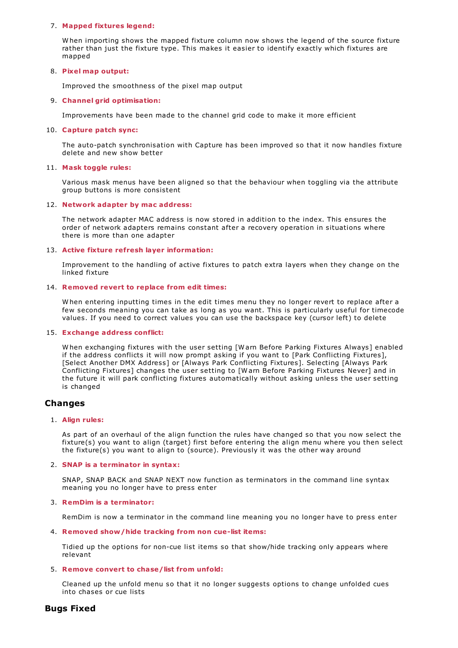# 7. **Mapped fixtures legend:**

W hen importing shows the mapped fixture column now shows the legend of the source fixture rather than just the fixture type. This makes it easier to identify exactly which fixtures are mapped

# 8. **Pixel map output:**

Improved the smoothness of the pixel map output

# 9. **Channel grid optimisation:**

Improvements have been made to the channel grid code to make it more efficient

# 10. **Capture patch sync:**

The auto-patch synchronisation with Capture has been improved so that it now handles fixture delete and new show better

# 11. **Mask toggle rules:**

Various mask menus have been aligned so that the behaviour when toggling via the attribute group buttons is more consistent

# 12. **Network adapter by mac address:**

The network adapter MAC address is now stored in addition to the index. This ensures the order of network adapters remains constant after a recovery operation in situations where there is more than one adapter

# 13. **Active fixture refresh layer information:**

Improvement to the handling of active fixtures to patch extra layers when they change on the linked fixture

# 14. **Removed revert to replace from edit times:**

W hen entering inputting times in the edit times menu they no longer revert to replace after a few seconds meaning you can take as long as you want. This is particularly useful for timecode values. If you need to correct values you can use the backspace key (cursor left) to delete

# 15. **Exchange address conflict:**

W hen exchanging fixtures with the user setting [W arn Before Parking Fixtures Always] enabled if the address conflicts it will now prompt asking if you want to [Park Conflicting Fixtures], [Select Another DMX Address] or [Always Park Conflicting Fixtures]. Selecting [Always Park Conflicting Fixtures] changes the user setting to [W arn Before Parking Fixtures Never] and in the future it will park conflicting fixtures automatically without asking unless the user setting is changed

# **Changes**

# 1. **Align rules:**

As part of an overhaul of the align function the rules have changed so that you now select the fixture(s) you want to align (target) first before entering the align menu where you then select the fixture(s) you want to align to (source). Previously it was the other way around

# 2. **SNAP is a terminator in syntax:**

SNAP, SNAP BACK and SNAP NEXT now function as terminators in the command line syntax meaning you no longer have to press enter

# 3. **RemDim is a terminator:**

RemDim is now a terminator in the command line meaning you no longer have to press enter

# 4. **Removed show/hide tracking from non cue-list items:**

Tidied up the options for non-cue list items so that show/hide tracking only appears where relevant

# 5. **Remove convert to chase/list from unfold:**

Cleaned up the unfold menu so that it no longer suggests options to change unfolded cues into chases or cue lists

# **Bugs Fixed**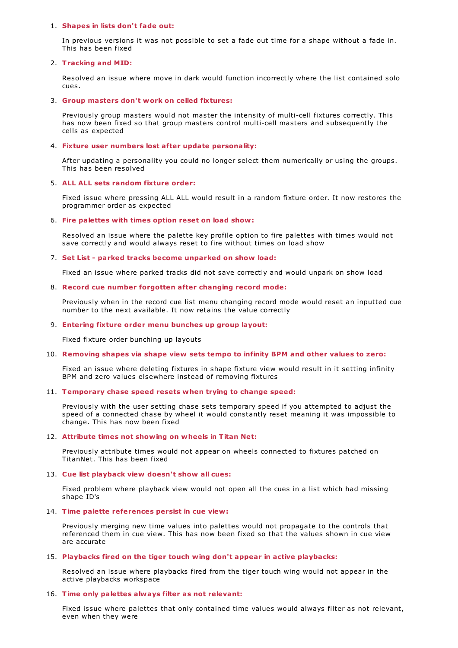#### 1. **Shapes in lists don't fade out:**

In previous versions it was not possible to set a fade out time for a shape without a fade in. This has been fixed

## 2. **Tracking and MID:**

Resolved an issue where move in dark would function incorrectly where the list contained solo cues.

## 3. **Group masters don't work on celled fixtures:**

Previously group masters would not master the intensity of multi-cell fixtures correctly. This has now been fixed so that group masters control multi-cell masters and subsequently the cells as expected

## 4. **Fixture user numbers lost after update personality:**

After updating a personality you could no longer select them numerically or using the groups. This has been resolved

## 5. **ALL ALL sets random fixture order:**

Fixed issue where pressing ALL ALL would result in a random fixture order. It now restores the programmer order as expected

### 6. **Fire palettes with times option reset on load show:**

Resolved an issue where the palette key profile option to fire palettes with times would not save correctly and would always reset to fire without times on load show

### 7. **Set List - parked tracks become unparked on show load:**

Fixed an issue where parked tracks did not save correctly and would unpark on show load

### 8. **Record cue number forgotten after changing record mode:**

Previously when in the record cue list menu changing record mode would reset an inputted cue number to the next available. It now retains the value correctly

## 9. **Entering fixture order menu bunches up group layout:**

Fixed fixture order bunching up layouts

# 10. **Removing shapes via shape view sets tempo to infinity BPM and other values to zero:**

Fixed an issue where deleting fixtures in shape fixture view would result in it setting infinity BPM and zero values elsewhere instead of removing fixtures

## 11. **Temporary chase speed resets when trying to change speed:**

Previously with the user setting chase sets temporary speed if you attempted to adjust the speed of a connected chase by wheel it would constantly reset meaning it was impossible to change. This has now been fixed

#### 12. **Attribute times not showing on wheels in Titan Net:**

Previously attribute times would not appear on wheels connected to fixtures patched on TitanNet. This has been fixed

## 13. **Cue list playback view doesn't show all cues:**

Fixed problem where playback view would not open all the cues in a list which had missing shape ID's

## 14. **Time palette references persist in cue view:**

Previously merging new time values into palettes would not propagate to the controls that referenced them in cue view. This has now been fixed so that the values shown in cue view are accurate

#### 15. **Playbacks fired on the tiger touch wing don't appear in active playbacks:**

Resolved an issue where playbacks fired from the tiger touch wing would not appear in the active playbacks workspace

## 16. **Time only palettes always filter as not relevant:**

Fixed issue where palettes that only contained time values would always filter as not relevant, even when they were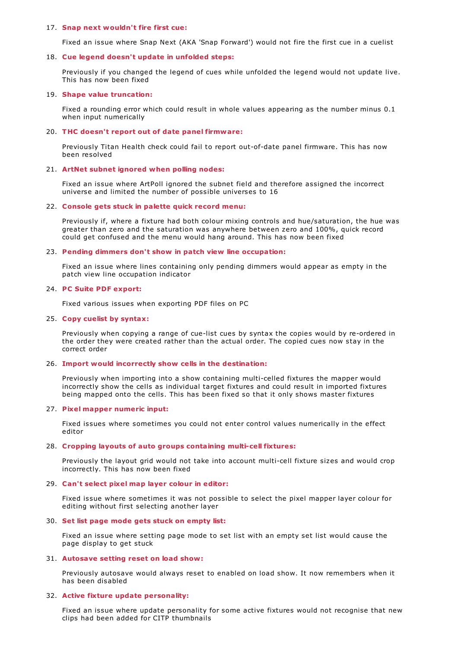#### 17. **Snap next wouldn't fire first cue:**

Fixed an issue where Snap Next (AKA 'Snap Forward') would not fire the first cue in a cuelist

### 18. **Cue legend doesn't update in unfolded steps:**

Previously if you changed the legend of cues while unfolded the legend would not update live. This has now been fixed

#### 19. **Shape value truncation:**

Fixed a rounding error which could result in whole values appearing as the number minus 0.1 when input numerically

#### 20. **THC doesn't report out of date panel firmware:**

Previously Titan Health check could fail to report out-of-date panel firmware. This has now been resolved

#### 21. **ArtNet subnet ignored when polling nodes:**

Fixed an issue where ArtPoll ignored the subnet field and therefore assigned the incorrect universe and limited the number of possible universes to 16

#### 22. **Console gets stuck in palette quick record menu:**

Previously if, where a fixture had both colour mixing controls and hue/saturation, the hue was greater than zero and the saturation was anywhere between zero and 100%, quick record could get confused and the menu would hang around. This has now been fixed

## 23. **Pending dimmers don't show in patch view line occupation:**

Fixed an issue where lines containing only pending dimmers would appear as empty in the patch view line occupation indicator

#### 24. **PC Suite PDF export:**

Fixed various issues when exporting PDF files on PC

#### 25. **Copy cuelist by syntax:**

Previously when copying a range of cue-list cues by syntax the copies would by re-ordered in the order they were created rather than the actual order. The copied cues now stay in the correct order

#### 26. **Import would incorrectly show cells in the destination:**

Previously when importing into a show containing multi-celled fixtures the mapper would incorrectly show the cells as individual target fixtures and could result in imported fixtures being mapped onto the cells. This has been fixed so that it only shows master fixtures

#### 27. **Pixel mapper numeric input:**

Fixed issues where sometimes you could not enter control values numerically in the effect editor

#### 28. **Cropping layouts of auto groups containing multi-cell fixtures:**

Previously the layout grid would not take into account multi-cell fixture sizes and would crop incorrectly. This has now been fixed

#### 29. **Can't select pixel map layer colour in editor:**

Fixed issue where sometimes it was not possible to select the pixel mapper layer colour for editing without first selecting another layer

### 30. **Set list page mode gets stuck on empty list:**

Fixed an issue where setting page mode to set list with an empty set list would cause the page display to get stuck

## 31. **Autosave setting reset on load show:**

Previously autosave would always reset to enabled on load show. It now remembers when it has been disabled

#### 32. **Active fixture update personality:**

Fixed an issue where update personality for some active fixtures would not recognise that new clips had been added for CITP thumbnails